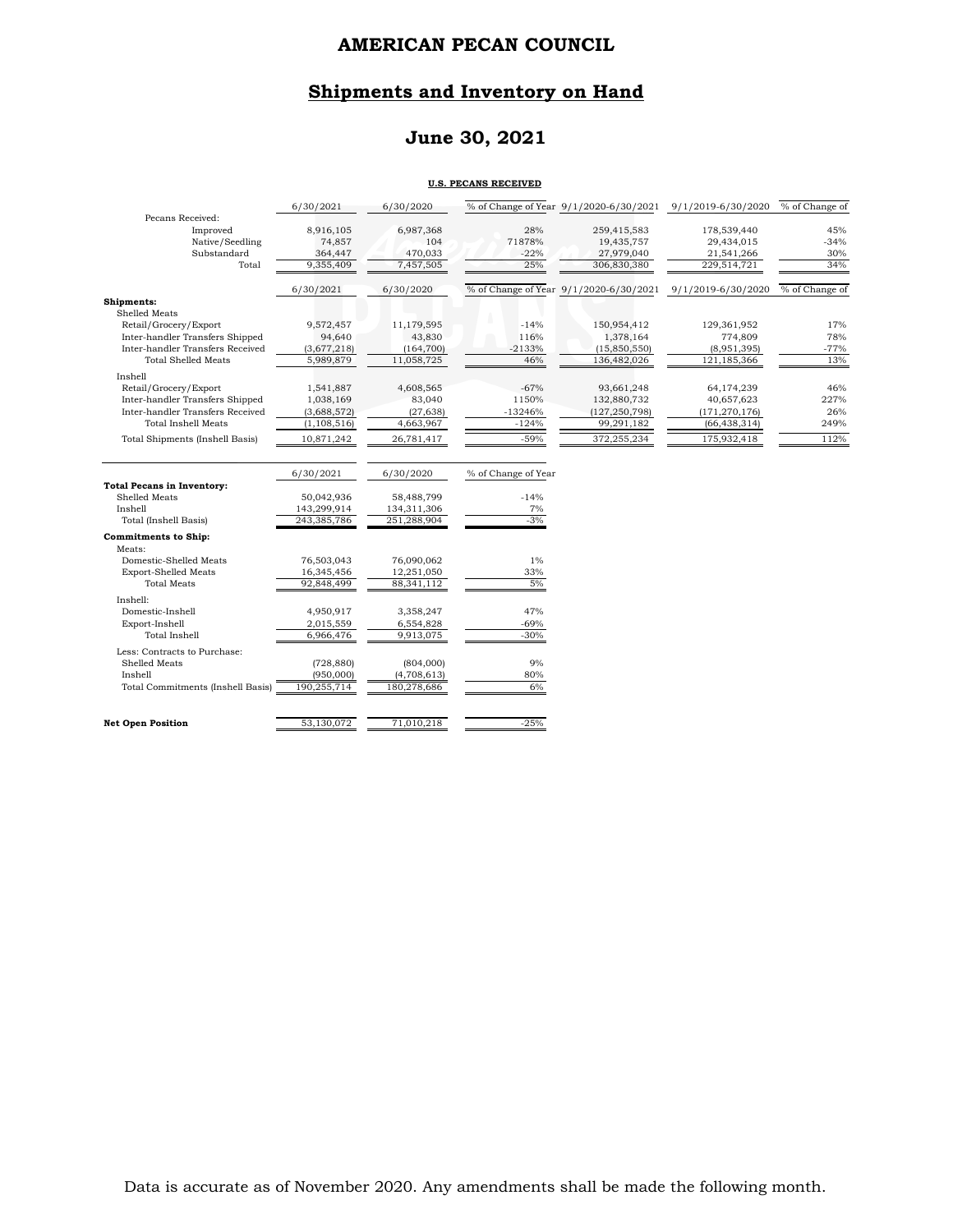### **Shipments and Inventory on Hand**

### **June 30, 2021**

#### **U.S. PECANS RECEIVED**

|                                          | 6/30/2021     | 6/30/2020   |                     |                                        | % of Change of Year 9/1/2020-6/30/2021 9/1/2019-6/30/2020 | % of Change of |
|------------------------------------------|---------------|-------------|---------------------|----------------------------------------|-----------------------------------------------------------|----------------|
| Pecans Received:<br>Improved             | 8,916,105     | 6,987,368   | 28%                 | 259,415,583                            | 178,539,440                                               | 45%            |
| Native/Seedling                          | 74,857        | 104         | 71878%              | 19,435,757                             | 29,434,015                                                | $-34%$         |
| Substandard                              | 364,447       | 470,033     | $-22%$              | 27,979,040                             | 21,541,266                                                | $30\%$         |
| Total                                    | 9,355,409     | 7,457,505   | 25%                 | 306,830,380                            | 229,514,721                                               | 34%            |
|                                          |               |             |                     |                                        |                                                           |                |
|                                          | 6/30/2021     | 6/30/2020   |                     | % of Change of Year 9/1/2020-6/30/2021 | 9/1/2019-6/30/2020                                        | % of Change of |
| Shipments:                               |               |             |                     |                                        |                                                           |                |
| Shelled Meats                            |               |             |                     |                                        |                                                           |                |
| Retail/Grocery/Export                    | 9,572,457     | 11,179,595  | $-14%$              | 150,954,412                            | 129,361,952                                               | 17%            |
| Inter-handler Transfers Shipped          | 94,640        | 43,830      | 116%                | 1,378,164                              | 774,809                                                   | 78%            |
| Inter-handler Transfers Received         | (3,677,218)   | (164, 700)  | $-2133%$            | (15,850,550)                           | (8,951,395)                                               | $-77%$         |
| <b>Total Shelled Meats</b>               | 5,989,879     | 11,058,725  | 46%                 | 136,482,026                            | 121,185,366                                               | 13%            |
| Inshell                                  |               |             |                     |                                        |                                                           |                |
| Retail/Grocery/Export                    | 1,541,887     | 4,608,565   | $-67%$              | 93,661,248                             | 64,174,239                                                | 46%            |
| Inter-handler Transfers Shipped          | 1,038,169     | 83,040      | 1150%               | 132,880,732                            | 40,657,623                                                | 227%           |
| Inter-handler Transfers Received         | (3,688,572)   | (27, 638)   | $-13246%$           | (127, 250, 798)                        | (171, 270, 176)                                           | 26%            |
| <b>Total Inshell Meats</b>               | (1, 108, 516) | 4,663,967   | $-124%$             | 99,291,182                             | (66, 438, 314)                                            | 249%           |
| <b>Total Shipments (Inshell Basis)</b>   | 10,871,242    | 26,781,417  | $-59%$              | 372,255,234                            | 175,932,418                                               | 112%           |
|                                          | 6/30/2021     | 6/30/2020   | % of Change of Year |                                        |                                                           |                |
| <b>Total Pecans in Inventory:</b>        |               |             |                     |                                        |                                                           |                |
| Shelled Meats                            | 50,042,936    | 58,488,799  | $-14%$              |                                        |                                                           |                |
| Inshell                                  | 143,299,914   | 134,311,306 | $7\%$               |                                        |                                                           |                |
| Total (Inshell Basis)                    | 243,385,786   | 251,288,904 | $-3%$               |                                        |                                                           |                |
| <b>Commitments to Ship:</b>              |               |             |                     |                                        |                                                           |                |
| Meats:                                   |               |             |                     |                                        |                                                           |                |
| Domestic-Shelled Meats                   | 76,503,043    | 76,090,062  | $1\%$               |                                        |                                                           |                |
| <b>Export-Shelled Meats</b>              | 16,345,456    | 12,251,050  | 33%                 |                                        |                                                           |                |
| <b>Total Meats</b>                       | 92,848,499    | 88,341,112  | 5%                  |                                        |                                                           |                |
| Inshell:                                 |               |             |                     |                                        |                                                           |                |
| Domestic-Inshell                         | 4,950,917     | 3,358,247   | 47%                 |                                        |                                                           |                |
| Export-Inshell                           | 2,015,559     | 6,554,828   | $-69%$              |                                        |                                                           |                |
| <b>Total Inshell</b>                     | 6,966,476     | 9,913,075   | $-30%$              |                                        |                                                           |                |
| Less: Contracts to Purchase:             |               |             |                     |                                        |                                                           |                |
| Shelled Meats                            | (728, 880)    | (804,000)   | 9%                  |                                        |                                                           |                |
| Inshell                                  | (950,000)     | (4,708,613) | 80%                 |                                        |                                                           |                |
| <b>Total Commitments (Inshell Basis)</b> | 190,255,714   | 180,278,686 | 6%                  |                                        |                                                           |                |
|                                          |               |             |                     |                                        |                                                           |                |
| <b>Net Open Position</b>                 | 53,130,072    | 71,010,218  | $-25%$              |                                        |                                                           |                |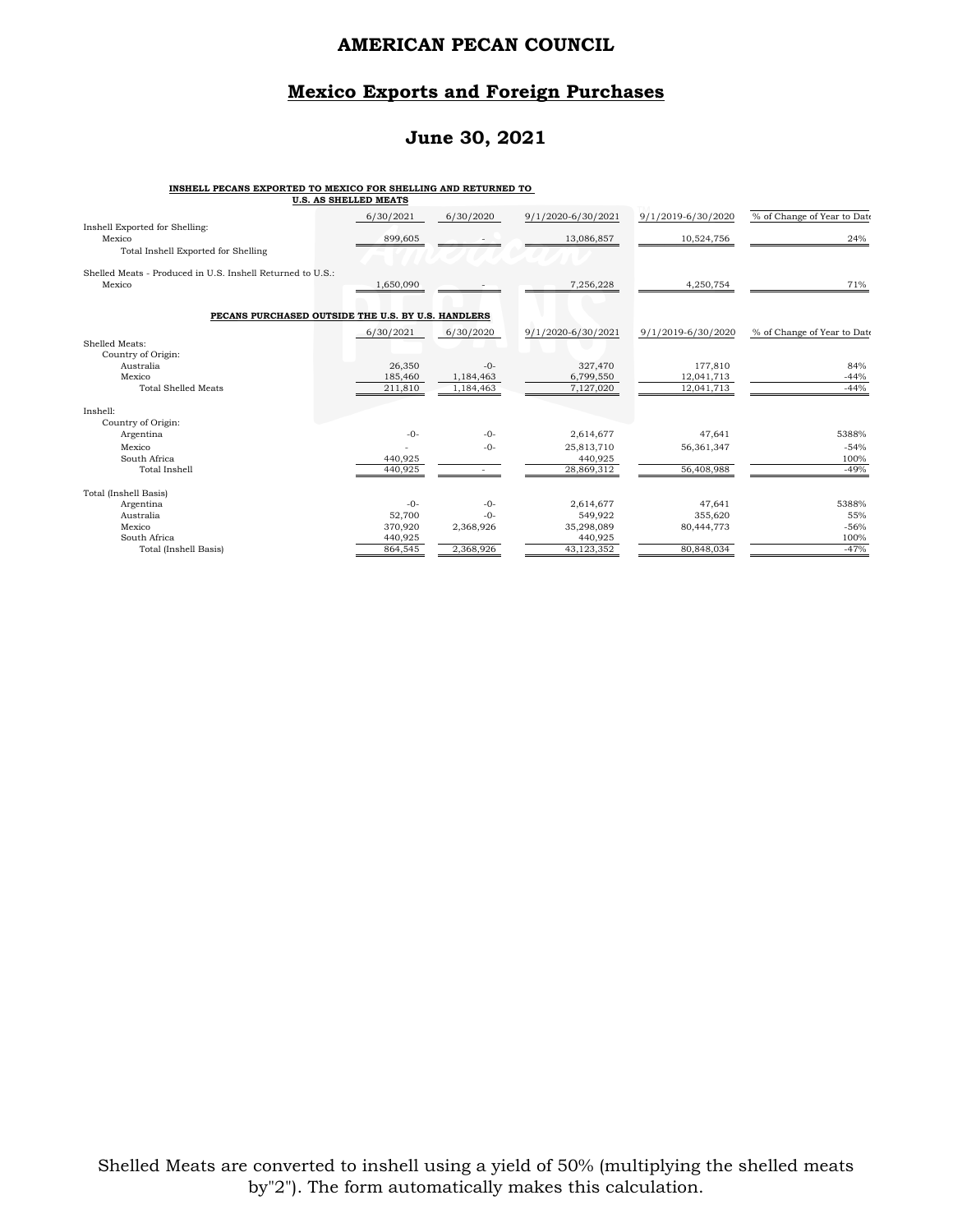#### **Mexico Exports and Foreign Purchases**

### **June 30, 2021**

#### **INSHELL PECANS EXPORTED TO MEXICO FOR SHELLING AND RETURNED TO**

|                                                            | U.S. AS SHELLED MEATS |           |                    |                    |                             |
|------------------------------------------------------------|-----------------------|-----------|--------------------|--------------------|-----------------------------|
| Inshell Exported for Shelling:                             | 6/30/2021             | 6/30/2020 | 9/1/2020-6/30/2021 | 9/1/2019-6/30/2020 | % of Change of Year to Date |
| Mexico                                                     | 899,605               |           | 13,086,857         | 10,524,756         | 24%                         |
| Total Inshell Exported for Shelling                        |                       |           |                    |                    |                             |
| Shelled Meats - Produced in U.S. Inshell Returned to U.S.: |                       |           |                    |                    |                             |
| Mexico                                                     | 1,650,090             |           | 7,256,228          | 4,250,754          | 71%                         |
| PECANS PURCHASED OUTSIDE THE U.S. BY U.S. HANDLERS         |                       |           |                    |                    |                             |
|                                                            | 6/30/2021             | 6/30/2020 | 9/1/2020-6/30/2021 | 9/1/2019-6/30/2020 | % of Change of Year to Date |
| Shelled Meats:                                             |                       |           |                    |                    |                             |
| Country of Origin:                                         |                       |           |                    |                    |                             |
| Australia                                                  | 26,350                | $-0-$     | 327,470            | 177,810            | 84%                         |
| Mexico                                                     | 185,460               | 1,184,463 | 6,799,550          | 12,041,713         | $-44%$                      |
| <b>Total Shelled Meats</b>                                 | 211,810               | 1,184,463 | 7,127,020          | 12,041,713         | $-44%$                      |
| Inshell:                                                   |                       |           |                    |                    |                             |
| Country of Origin:                                         |                       |           |                    |                    |                             |
| Argentina                                                  | $-0-$                 | $-0-$     | 2,614,677          | 47,641             | 5388%                       |
| Mexico                                                     |                       | $-0-$     | 25,813,710         | 56,361,347         | $-54%$                      |
| South Africa                                               | 440,925               |           | 440,925            |                    | 100%                        |
| Total Inshell                                              | 440,925               |           | 28,869,312         | 56,408,988         | $-49%$                      |
| Total (Inshell Basis)                                      |                       |           |                    |                    |                             |
| Argentina                                                  | $-0-$                 | $-0-$     | 2,614,677          | 47,641             | 5388%                       |
| Australia                                                  | 52,700                | $-0-$     | 549.922            | 355.620            | 55%                         |
| Mexico                                                     | 370,920               | 2,368,926 | 35,298,089         | 80,444,773         | $-56%$                      |
| South Africa                                               | 440,925               |           | 440,925            |                    | 100%                        |
| Total (Inshell Basis)                                      | 864,545               | 2,368,926 | 43.123.352         | 80,848,034         | $-47%$                      |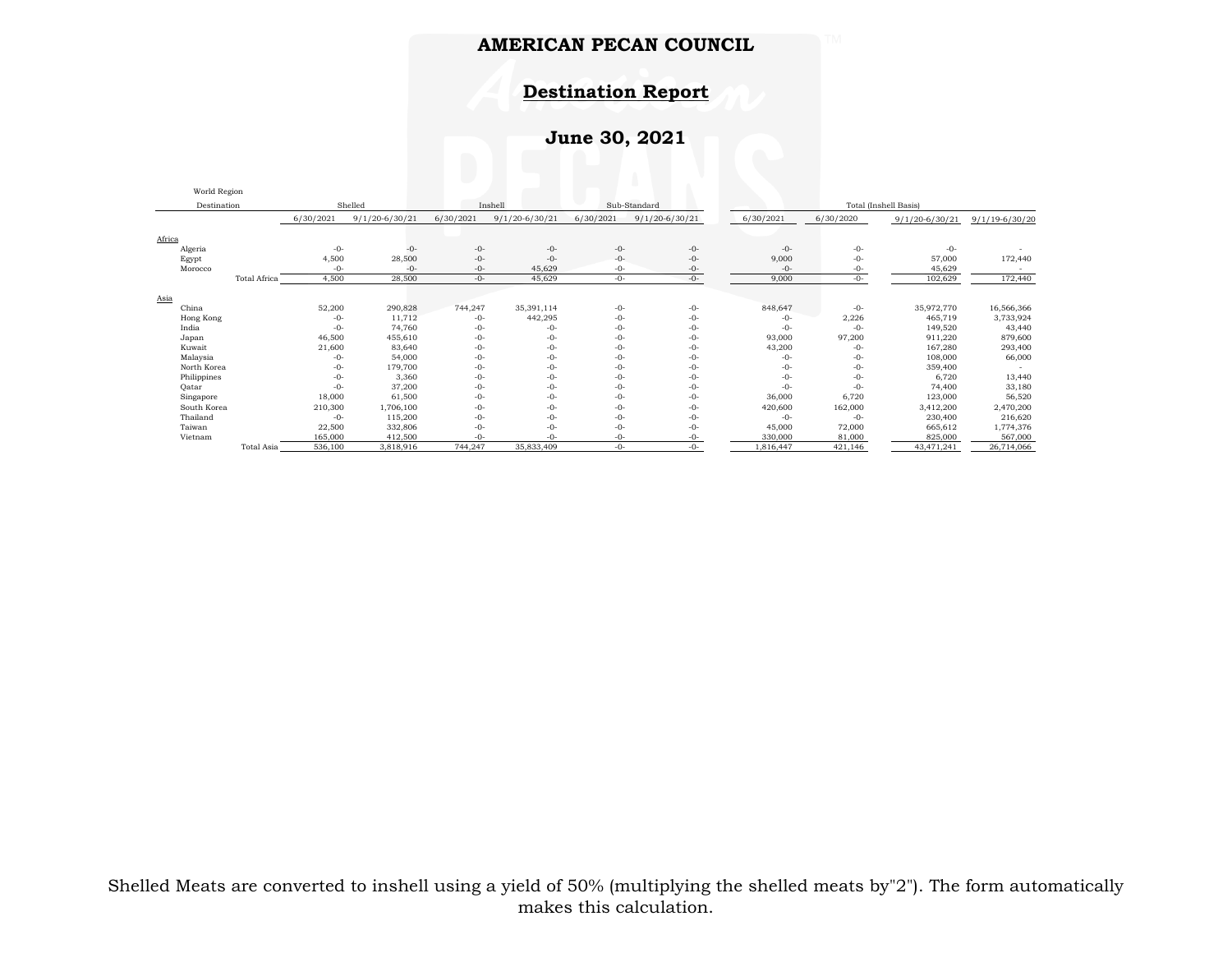## **Destination Report**

# **June 30, 2021**

| World Region |                     |           |                    |           |                    |           |                    |           |                       |                    |                          |
|--------------|---------------------|-----------|--------------------|-----------|--------------------|-----------|--------------------|-----------|-----------------------|--------------------|--------------------------|
| Destination  |                     |           | Shelled            |           | Inshell            |           | Sub-Standard       |           | Total (Inshell Basis) |                    |                          |
|              |                     | 6/30/2021 | $9/1/20 - 6/30/21$ | 6/30/2021 | $9/1/20 - 6/30/21$ | 6/30/2021 | $9/1/20 - 6/30/21$ | 6/30/2021 | 6/30/2020             | $9/1/20 - 6/30/21$ | $9/1/19 - 6/30/20$       |
| Africa       |                     |           |                    |           |                    |           |                    |           |                       |                    |                          |
| Algeria      |                     | $-0-$     | $-0-$              | $-0-$     | $-0-$              | $-0-$     | $-0-$              | $-0-$     | $-0-$                 | $-0-$              |                          |
| Egypt        |                     | 4,500     | 28,500             | $-0-$     | $-0-$              | $-0-$     | $-0-$              | 9,000     | $-0-$                 | 57,000             | 172,440                  |
| Morocco      |                     | $-0-$     | $-0-$              | $-0-$     | 45,629             | $-0-$     | $-0-$              | $-0-$     | $-0-$                 | 45,629             | $\overline{\phantom{a}}$ |
|              | <b>Total Africa</b> | 4,500     | 28,500             | $-0-$     | 45,629             | $-0-$     | $-0-$              | 9,000     | $-0-$                 | 102,629            | 172,440                  |
| Asia         |                     |           |                    |           |                    |           |                    |           |                       |                    |                          |
| China        |                     | 52,200    | 290,828            | 744,247   | 35,391,114         | $-0-$     | $-0-$              | 848,647   | $-0-$                 | 35,972,770         | 16,566,366               |
| Hong Kong    |                     | $-0-$     | 11,712             | $-0-$     | 442,295            | $-0-$     | $-0-$              | $-0-$     | 2,226                 | 465,719            | 3,733,924                |
| India        |                     | $-0-$     | 74,760             | -0-       | $-()$ -            | $-0-$     | $-0-$              | $-0-$     | $-0-$                 | 149,520            | 43,440                   |
| Japan        |                     | 46,500    | 455,610            | $-0-$     | $-0-$              | $-0-$     | $-0-$              | 93,000    | 97,200                | 911,220            | 879,600                  |
| Kuwait       |                     | 21,600    | 83,640             | $-0-$     | $-0-$              | $-0-$     | $-0-$              | 43,200    | $-0-$                 | 167,280            | 293,400                  |
| Malaysia     |                     | -0-       | 54,000             | $-0-$     | $-0-$              | $-0-$     | $-0-$              | $-0-$     | $-0-$                 | 108,000            | 66,000                   |
| North Korea  |                     | -0-       | 179,700            | $-0-$     | $-0-$              | $-0-$     | $-0-$              | -0-       | $-0-$                 | 359,400            |                          |
| Philippines  |                     | $-0-$     | 3,360              | $-0-$     | $-0-$              | $-0-$     | $-0-$              | $-0-$     | -0-                   | 6,720              | 13,440                   |
| Qatar        |                     | $-0-$     | 37,200             | $-0-$     | $-0-$              | $-0-$     | $-0-$              | $-0-$     | $-0-$                 | 74,400             | 33,180                   |
| Singapore    |                     | 18,000    | 61,500             | $-0-$     | $-0-$              | $-0-$     | $-0-$              | 36,000    | 6,720                 | 123,000            | 56,520                   |
| South Korea  |                     | 210,300   | 1,706,100          | $-0-$     | $-0-$              | $-0-$     | $-0-$              | 420,600   | 162,000               | 3,412,200          | 2,470,200                |
| Thailand     |                     | $-0-$     | 115,200            | $-0-$     | $-0-$              | $-0-$     | $-0-$              | $-0-$     | $-0-$                 | 230,400            | 216,620                  |
| Taiwan       |                     | 22,500    | 332,806            | $-0-$     | $-0-$              | $-0-$     | $-0-$              | 45,000    | 72,000                | 665,612            | 1,774,376                |
| Vietnam      |                     | 165,000   | 412,500            | $-0-$     | $-()$ -            | -0-       | $-0-$              | 330,000   | 81,000                | 825,000            | 567,000                  |
|              | Total Asia          | 536,100   | 3,818,916          | 744,247   | 35,833,409         | -0-       | $-0-$              | 1,816,447 | 421,146               | 43, 471, 241       | 26,714,066               |

World Region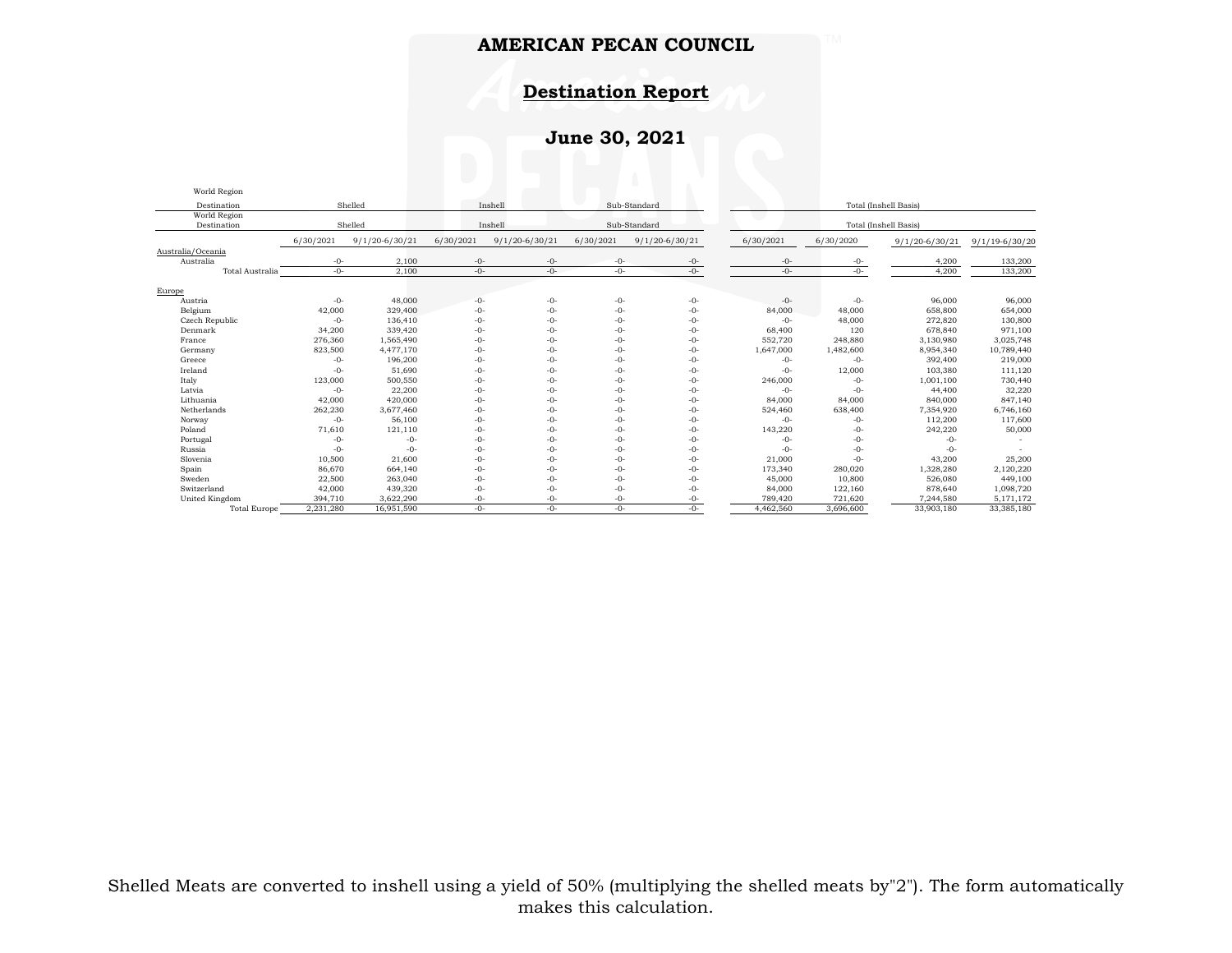### **Destination Report**

# **June 30, 2021**

World Region

| world <i>Keglon</i> |           |                    |           |                    |           |                    |                       |                       |                    |                    |
|---------------------|-----------|--------------------|-----------|--------------------|-----------|--------------------|-----------------------|-----------------------|--------------------|--------------------|
| Destination         |           | Shelled            |           | Inshell            |           | Sub-Standard       | Total (Inshell Basis) |                       |                    |                    |
| World Region        |           |                    |           |                    |           |                    |                       |                       |                    |                    |
| Destination         |           | Shelled            |           | Inshell            |           | Sub-Standard       |                       | Total (Inshell Basis) |                    |                    |
|                     | 6/30/2021 | $9/1/20 - 6/30/21$ | 6/30/2021 | $9/1/20 - 6/30/21$ | 6/30/2021 | $9/1/20 - 6/30/21$ | 6/30/2021             | 6/30/2020             | $9/1/20 - 6/30/21$ | $9/1/19 - 6/30/20$ |
| Australia/Oceania   |           |                    |           |                    |           |                    |                       |                       |                    |                    |
| Australia           | $-0-$     | 2,100              | $-0-$     | $-0-$              | $-0-$     | $-0-$              | $-0-$                 | -0-                   | 4,200              | 133,200            |
| Total Australia     | $-0-$     | 2.100              | $-0-$     | $-0-$              | $-0-$     | $-0-$              | $-0-$                 | $-0-$                 | 4.200              | 133,200            |
| Europe              |           |                    |           |                    |           |                    |                       |                       |                    |                    |
| Austria             | $-0-$     | 48,000             | $-0-$     | -0-                | $-0-$     | $-0-$              | $-0-$                 | $-0-$                 | 96,000             | 96,000             |
| Belgium             | 42,000    | 329,400            | $-0-$     | -0-                | $-0-$     | $-0-$              | 84,000                | 48,000                | 658,800            | 654,000            |
| Czech Republic      | $-0-$     | 136,410            | $-0-$     | $-0-$              | $-0-$     | $-0-$              | $-0-$                 | 48,000                | 272,820            | 130,800            |
| Denmark             | 34,200    | 339,420            | $-0-$     | $-()$ -            | $-0-$     | $-0-$              | 68,400                | 120                   | 678,840            | 971,100            |
| France              | 276,360   | 1,565,490          | $-0-$     | -0-                | $-0-$     | $-0-$              | 552,720               | 248,880               | 3,130,980          | 3,025,748          |
| Germany             | 823,500   | 4,477,170          | $-0-$     | -0-                | $-0-$     | $-0-$              | 1,647,000             | 1,482,600             | 8,954,340          | 10,789,440         |
| Greece              | $-()$ -   | 196,200            | $-0-$     | $-()$ -            | $-0-$     | $-()$ -            | $-0-$                 | $-0-$                 | 392,400            | 219,000            |
| Ireland             | $-0-$     | 51,690             | $-0-$     | -0-                | $-0-$     | $-0-$              | $-()$ -               | 12,000                | 103,380            | 111,120            |
| Italy               | 123,000   | 500,550            | $-0-$     | -0-                | $-0-$     | $-0-$              | 246,000               | $-0-$                 | 1,001,100          | 730,440            |
| Latvia              | $-0-$     | 22,200             | $-0-$     | $-0-$              | $-0-$     | $-0-$              | $-0-$                 | $-0-$                 | 44,400             | 32,220             |
| Lithuania           | 42,000    | 420,000            | $-0-$     | -0-                | $-0-$     | $-0-$              | 84,000                | 84,000                | 840,000            | 847,140            |
| Netherlands         | 262,230   | 3,677,460          | $-0-$     | -0-                | $-0-$     | $-0-$              | 524,460               | 638,400               | 7,354,920          | 6,746,160          |
| Norway              | $-0-$     | 56,100             | $-0-$     | -0-                | $-0-$     | $-0-$              | $-0-$                 | $-0-$                 | 112,200            | 117,600            |
| Poland              | 71,610    | 121,110            | $-0-$     | -0-                | $-0-$     | $-0-$              | 143,220               | $-0-$                 | 242,220            | 50,000             |
| Portugal            | $-0-$     | $-0-$              | $-0-$     | -0-                | $-0-$     | $-0-$              | $-0-$                 | $-0-$                 | $-0-$              |                    |
| Russia              | $-0-$     | $-0-$              | $-0-$     | $-0-$              | $-0-$     | $-0-$              | $-0-$                 | $-0-$                 | $-0-$              |                    |
| Slovenia            | 10,500    | 21,600             | $-0-$     | -0-                | $-0-$     | $-0-$              | 21,000                | $-0-$                 | 43,200             | 25,200             |
| Spain               | 86,670    | 664,140            | $-0-$     | -0-                | $-0-$     | $-0-$              | 173,340               | 280,020               | 1,328,280          | 2,120,220          |
| Sweden              | 22,500    | 263,040            | $-0-$     | -0-                | $-0-$     | $-0-$              | 45,000                | 10,800                | 526,080            | 449,100            |
| Switzerland         | 42,000    | 439,320            | $-0-$     | -0-                | $-()$ -   | $-()$              | 84,000                | 122,160               | 878,640            | 1,098,720          |
| United Kingdom      | 394,710   | 3,622,290          | $-0-$     | -0-                | $-0-$     | -0-                | 789,420               | 721,620               | 7,244,580          | 5,171,172          |
| <b>Total Europe</b> | 2,231,280 | 16,951,590         | $-()$ -   | $-0-$              | $-()$ -   | $-()$ -            | 4,462,560             | 3.696.600             | 33.903.180         | 33,385,180         |